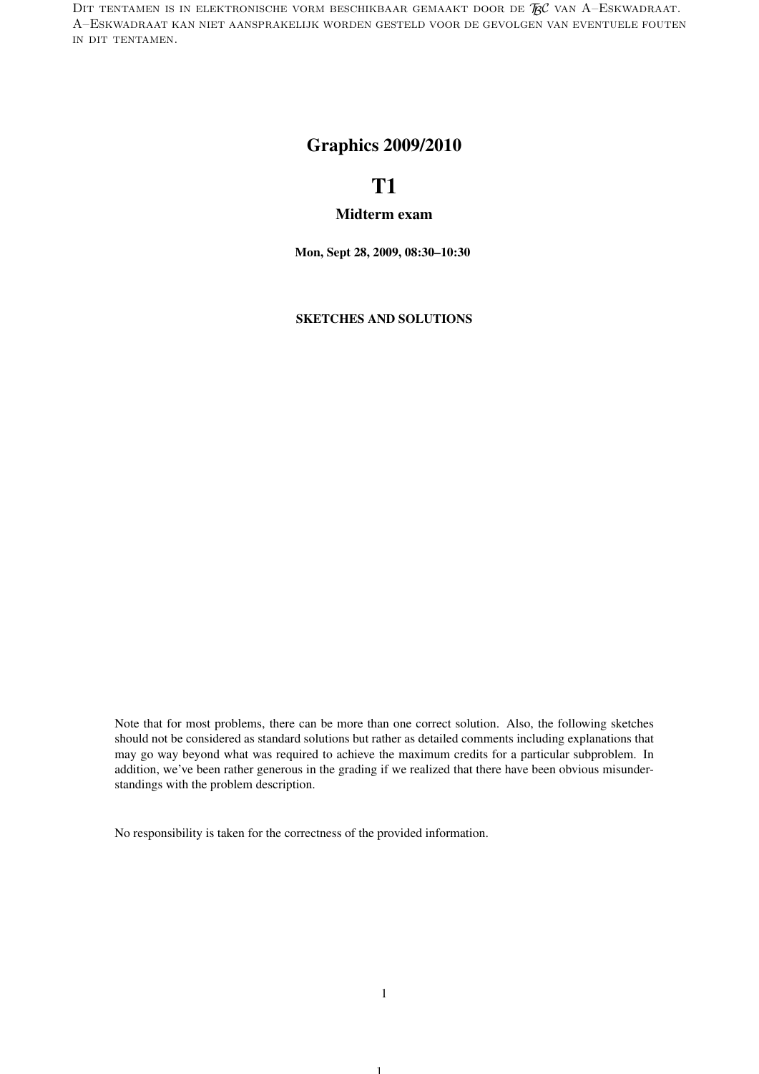DIT TENTAMEN IS IN ELEKTRONISCHE VORM BESCHIKBAAR GEMAAKT DOOR DE  $\mathcal{R}$ C van A–Eskwadraat. A–Eskwadraat kan niet aansprakelijk worden gesteld voor de gevolgen van eventuele fouten in dit tentamen.

## Graphics 2009/2010

## T1

### Midterm exam

Mon, Sept 28, 2009, 08:30–10:30

SKETCHES AND SOLUTIONS

Note that for most problems, there can be more than one correct solution. Also, the following sketches should not be considered as standard solutions but rather as detailed comments including explanations that may go way beyond what was required to achieve the maximum credits for a particular subproblem. In addition, we've been rather generous in the grading if we realized that there have been obvious misunderstandings with the problem description.

No responsibility is taken for the correctness of the provided information.

1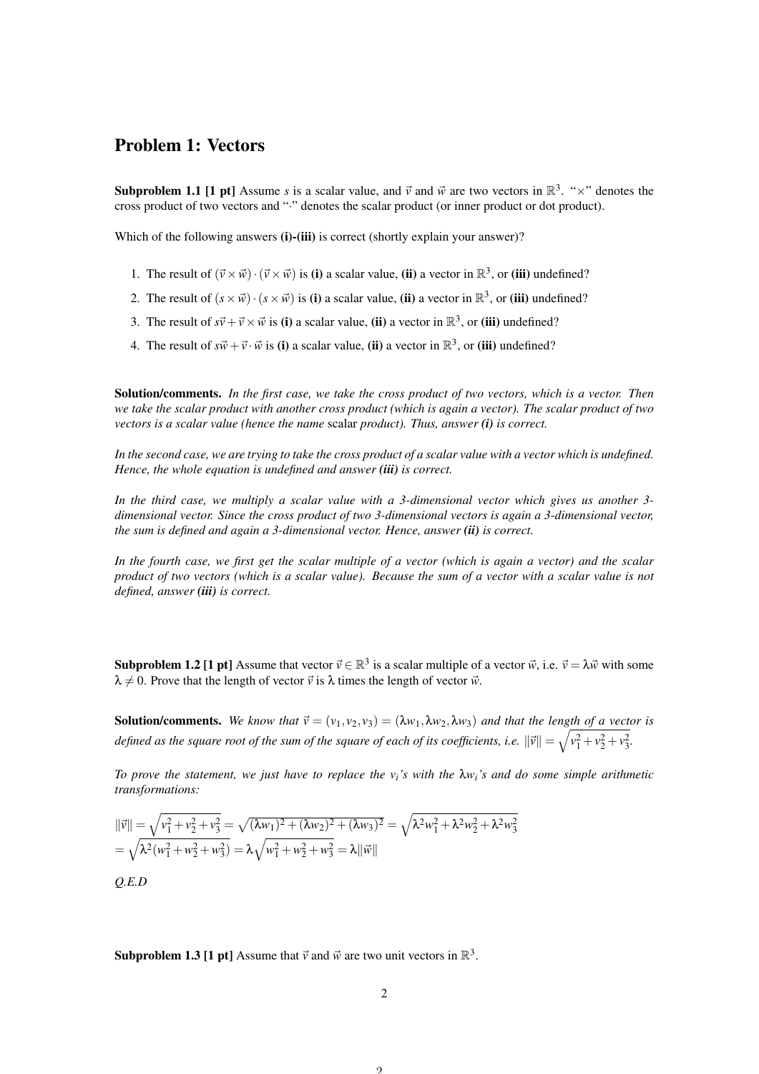## Problem 1: Vectors

**Subproblem 1.1 [1 pt]** Assume *s* is a scalar value, and  $\vec{v}$  and  $\vec{w}$  are two vectors in  $\mathbb{R}^3$ . " $\times$ " denotes the cross product of two vectors and "·" denotes the scalar product (or inner product or dot product).

Which of the following answers (i)-(iii) is correct (shortly explain your answer)?

- 1. The result of  $(\vec{v} \times \vec{w}) \cdot (\vec{v} \times \vec{w})$  is (i) a scalar value, (ii) a vector in  $\mathbb{R}^3$ , or (iii) undefined?
- 2. The result of  $(s \times \vec{w}) \cdot (s \times \vec{w})$  is (i) a scalar value, (ii) a vector in  $\mathbb{R}^3$ , or (iii) undefined?
- 3. The result of  $s\vec{v}+\vec{v}\times\vec{w}$  is (i) a scalar value, (ii) a vector in  $\mathbb{R}^3$ , or (iii) undefined?
- 4. The result of  $s\vec{w}+\vec{v}\cdot\vec{w}$  is (i) a scalar value, (ii) a vector in  $\mathbb{R}^3$ , or (iii) undefined?

Solution/comments. *In the first case, we take the cross product of two vectors, which is a vector. Then we take the scalar product with another cross product (which is again a vector). The scalar product of two vectors is a scalar value (hence the name* scalar *product). Thus, answer (i) is correct.*

*In the second case, we are trying to take the cross product of a scalar value with a vector which is undefined. Hence, the whole equation is undefined and answer (iii) is correct.*

*In the third case, we multiply a scalar value with a 3-dimensional vector which gives us another 3 dimensional vector. Since the cross product of two 3-dimensional vectors is again a 3-dimensional vector, the sum is defined and again a 3-dimensional vector. Hence, answer (ii) is correct.*

*In the fourth case, we first get the scalar multiple of a vector (which is again a vector) and the scalar product of two vectors (which is a scalar value). Because the sum of a vector with a scalar value is not defined, answer (iii) is correct.*

**Subproblem 1.2 [1 pt]** Assume that vector  $\vec{v} \in \mathbb{R}^3$  is a scalar multiple of a vector  $\vec{w}$ , i.e.  $\vec{v} = \lambda \vec{w}$  with some  $\lambda \neq 0$ . Prove that the length of vector  $\vec{v}$  is  $\lambda$  times the length of vector  $\vec{w}$ .

**Solution/comments.** We know that  $\vec{v} = (v_1, v_2, v_3) = (\lambda w_1, \lambda w_2, \lambda w_3)$  and that the length of a vector is *defined as the square root of the sum of the square of each of its coefficients, i.e.*  $\|\vec{v}\| = \sqrt{v_1^2 + v_2^2 + v_3^2}$ *.* 

*To prove the statement, we just have to replace the vi's with the* λ*wi's and do some simple arithmetic transformations:*

$$
\|\vec{v}\| = \sqrt{v_1^2 + v_2^2 + v_3^2} = \sqrt{(\lambda w_1)^2 + (\lambda w_2)^2 + (\lambda w_3)^2} = \sqrt{\lambda^2 w_1^2 + \lambda^2 w_2^2 + \lambda^2 w_3^2}
$$
  
=  $\sqrt{\lambda^2 (w_1^2 + w_2^2 + w_3^2)} = \lambda \sqrt{w_1^2 + w_2^2 + w_3^2} = \lambda \|\vec{w}\|$ 

*Q.E.D*

**Subproblem 1.3 [1 pt]** Assume that  $\vec{v}$  and  $\vec{w}$  are two unit vectors in  $\mathbb{R}^3$ .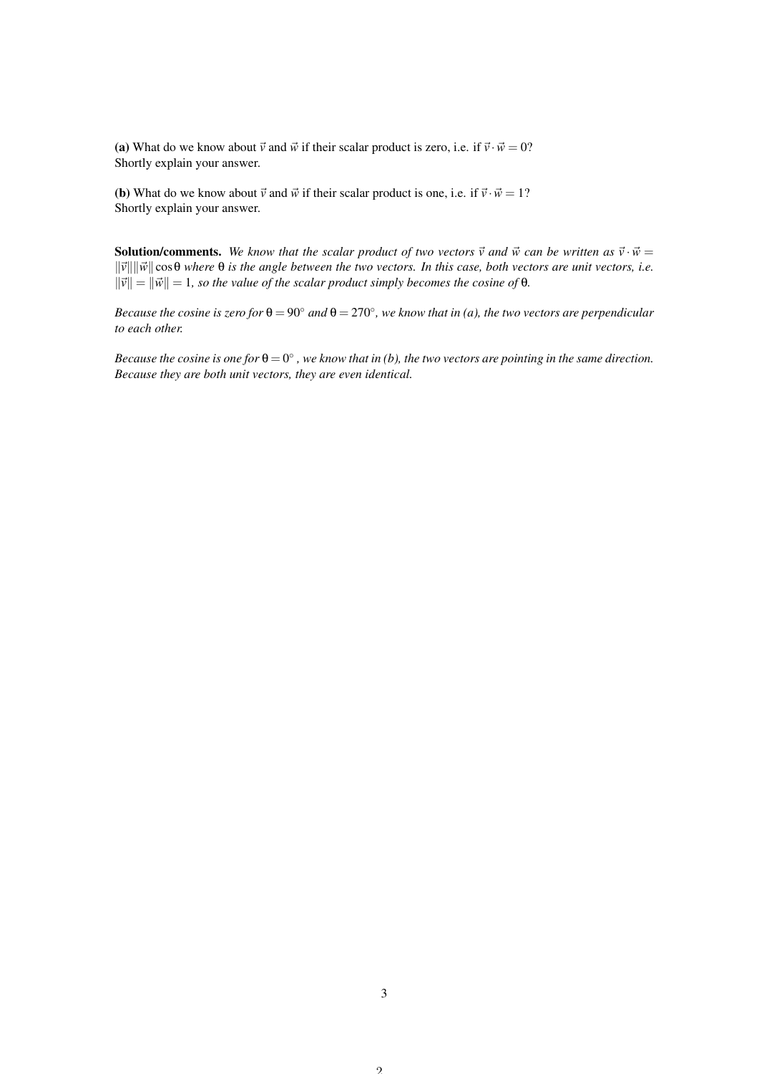(a) What do we know about  $\vec{v}$  and  $\vec{w}$  if their scalar product is zero, i.e. if  $\vec{v} \cdot \vec{w} = 0$ ? Shortly explain your answer.

(**b**) What do we know about  $\vec{v}$  and  $\vec{w}$  if their scalar product is one, i.e. if  $\vec{v} \cdot \vec{w} = 1$ ? Shortly explain your answer.

**Solution/comments.** We know that the scalar product of two vectors  $\vec{v}$  and  $\vec{w}$  can be written as  $\vec{v} \cdot \vec{w} =$  $\|\vec{v}\| \|\vec{w}\| \cos\theta$  where  $\theta$  *is the angle between the two vectors. In this case, both vectors are unit vectors, i.e.*  $\|\vec{v}\| = \|\vec{w}\| = 1$ , so the value of the scalar product simply becomes the cosine of  $\theta$ .

*Because the cosine is zero for*  $\theta = 90^\circ$  *and*  $\theta = 270^\circ$ , we know that in (a), the two vectors are perpendicular *to each other.*

 $Because the cosine is one for  $\theta = 0^{\circ}$ , we know that in (b), the two vectors are pointing in the same direction.$ *Because they are both unit vectors, they are even identical.*

 $\mathcal{L}$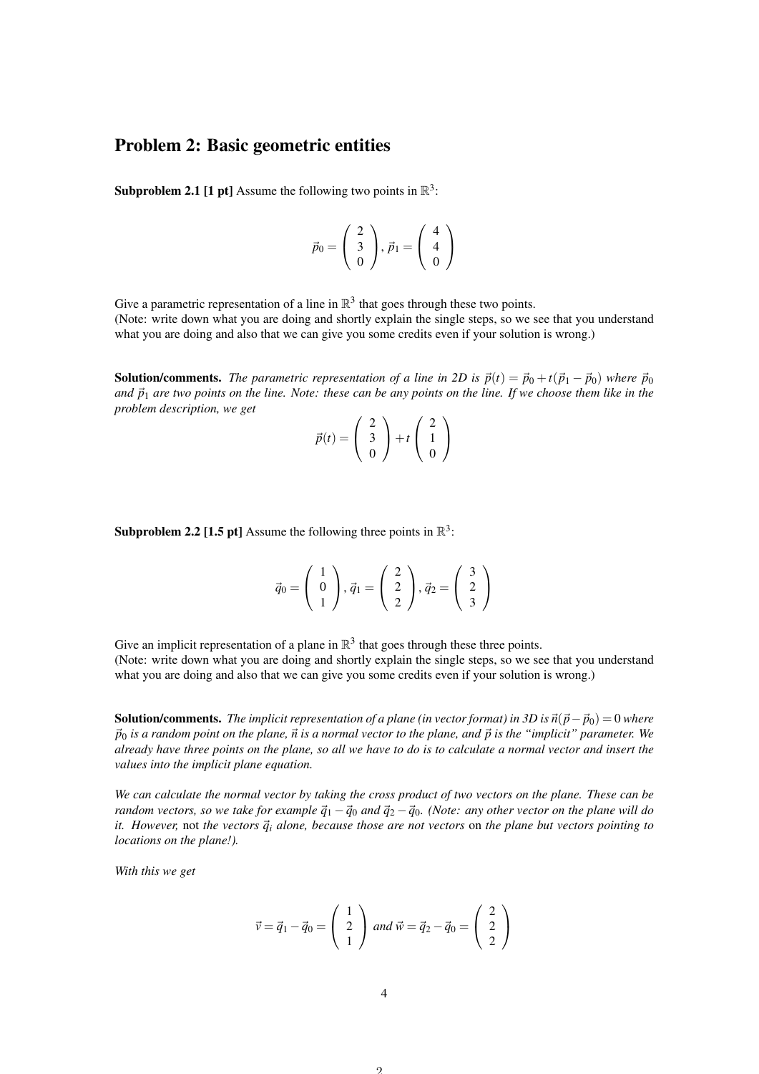# Problem 2: Basic geometric entities

**Subproblem 2.1 [1 pt]** Assume the following two points in  $\mathbb{R}^3$ :

$$
\vec{p}_0 = \left(\begin{array}{c} 2 \\ 3 \\ 0 \end{array}\right), \vec{p}_1 = \left(\begin{array}{c} 4 \\ 4 \\ 0 \end{array}\right)
$$

Give a parametric representation of a line in  $\mathbb{R}^3$  that goes through these two points. (Note: write down what you are doing and shortly explain the single steps, so we see that you understand what you are doing and also that we can give you some credits even if your solution is wrong.)

**Solution/comments.** The parametric representation of a line in 2D is  $\vec{p}(t) = \vec{p}_0 + t(\vec{p}_1 - \vec{p}_0)$  where  $\vec{p}_0$ *and*  $\vec{p}_1$  *are two points on the line. Note: these can be any points on the line. If we choose them like in the problem description, we get*

$$
\vec{p}(t) = \begin{pmatrix} 2 \\ 3 \\ 0 \end{pmatrix} + t \begin{pmatrix} 2 \\ 1 \\ 0 \end{pmatrix}
$$

**Subproblem 2.2 [1.5 pt]** Assume the following three points in  $\mathbb{R}^3$ :

$$
\vec{q}_0 = \left(\begin{array}{c} 1\\0\\1 \end{array}\right), \vec{q}_1 = \left(\begin{array}{c} 2\\2\\2 \end{array}\right), \vec{q}_2 = \left(\begin{array}{c} 3\\2\\3 \end{array}\right)
$$

Give an implicit representation of a plane in  $\mathbb{R}^3$  that goes through these three points. (Note: write down what you are doing and shortly explain the single steps, so we see that you understand what you are doing and also that we can give you some credits even if your solution is wrong.)

**Solution/comments.** *The implicit representation of a plane (in vector format) in 3D is*  $\vec{n}(\vec{p}-\vec{p}_0) = 0$  *where*  $\vec{p}_0$  *is a random point on the plane,*  $\vec{n}$  *is a normal vector to the plane, and*  $\vec{p}$  *is the "implicit" parameter. We already have three points on the plane, so all we have to do is to calculate a normal vector and insert the values into the implicit plane equation.*

*We can calculate the normal vector by taking the cross product of two vectors on the plane. These can be random vectors, so we take for example*  $\vec{q}_1 - \vec{q}_0$  *and*  $\vec{q}_2 - \vec{q}_0$ *. (Note: any other vector on the plane will do it. However,* not *the vectors*  $\vec{q}_i$  *alone, because those are not vectors* on *the plane but vectors pointing to locations on the plane!).*

*With this we get*

$$
\vec{v} = \vec{q}_1 - \vec{q}_0 = \begin{pmatrix} 1 \\ 2 \\ 1 \end{pmatrix} \text{ and } \vec{w} = \vec{q}_2 - \vec{q}_0 = \begin{pmatrix} 2 \\ 2 \\ 2 \end{pmatrix}
$$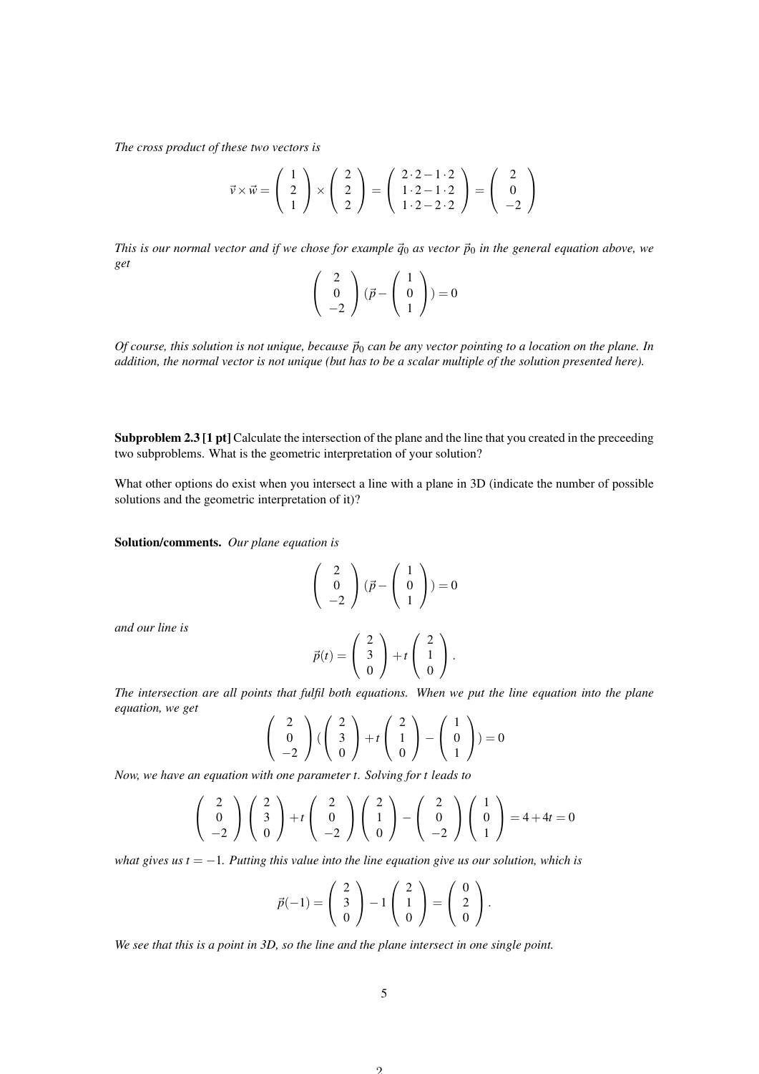*The cross product of these two vectors is*

$$
\vec{v} \times \vec{w} = \begin{pmatrix} 1 \\ 2 \\ 1 \end{pmatrix} \times \begin{pmatrix} 2 \\ 2 \\ 2 \end{pmatrix} = \begin{pmatrix} 2 \cdot 2 - 1 \cdot 2 \\ 1 \cdot 2 - 1 \cdot 2 \\ 1 \cdot 2 - 2 \cdot 2 \end{pmatrix} = \begin{pmatrix} 2 \\ 0 \\ -2 \end{pmatrix}
$$

*This is our normal vector and if we chose for example*  $\vec{q}_0$  *as vector*  $\vec{p}_0$  *in the general equation above, we get*

$$
\left(\begin{array}{c}2\\0\\-2\end{array}\right)(\vec{p}-\left(\begin{array}{c}1\\0\\1\end{array}\right))=0
$$

*Of course, this solution is not unique, because*  $\vec{p}_0$  *can be any vector pointing to a location on the plane. In addition, the normal vector is not unique (but has to be a scalar multiple of the solution presented here).*

Subproblem 2.3 [1 pt] Calculate the intersection of the plane and the line that you created in the preceeding two subproblems. What is the geometric interpretation of your solution?

What other options do exist when you intersect a line with a plane in 3D (indicate the number of possible solutions and the geometric interpretation of it)?

Solution/comments. *Our plane equation is*

$$
\left(\begin{array}{c}2\\0\\-2\end{array}\right)(\vec{p}-\left(\begin{array}{c}1\\0\\1\end{array}\right))=0
$$

*and our line is*

$$
\vec{p}(t) = \left(\begin{array}{c} 2 \\ 3 \\ 0 \end{array}\right) + t \left(\begin{array}{c} 2 \\ 1 \\ 0 \end{array}\right).
$$

*The intersection are all points that fulfil both equations. When we put the line equation into the plane equation, we get*

$$
\left(\begin{array}{c}2\\0\\-2\end{array}\right)\left(\left(\begin{array}{c}2\\3\\0\end{array}\right)+t\left(\begin{array}{c}2\\1\\0\end{array}\right)-\left(\begin{array}{c}1\\0\\1\end{array}\right)=0
$$

*Now, we have an equation with one parameter t. Solving for t leads to*

$$
\begin{pmatrix} 2 \\ 0 \\ -2 \end{pmatrix} \begin{pmatrix} 2 \\ 3 \\ 0 \end{pmatrix} + t \begin{pmatrix} 2 \\ 0 \\ -2 \end{pmatrix} \begin{pmatrix} 2 \\ 1 \\ 0 \end{pmatrix} - \begin{pmatrix} 2 \\ 0 \\ -2 \end{pmatrix} \begin{pmatrix} 1 \\ 0 \\ 1 \end{pmatrix} = 4 + 4t = 0
$$

*what gives us t* = −1*. Putting this value into the line equation give us our solution, which is*

$$
\vec{p}(-1) = \begin{pmatrix} 2 \\ 3 \\ 0 \end{pmatrix} - 1 \begin{pmatrix} 2 \\ 1 \\ 0 \end{pmatrix} = \begin{pmatrix} 0 \\ 2 \\ 0 \end{pmatrix}.
$$

*We see that this is a point in 3D, so the line and the plane intersect in one single point.*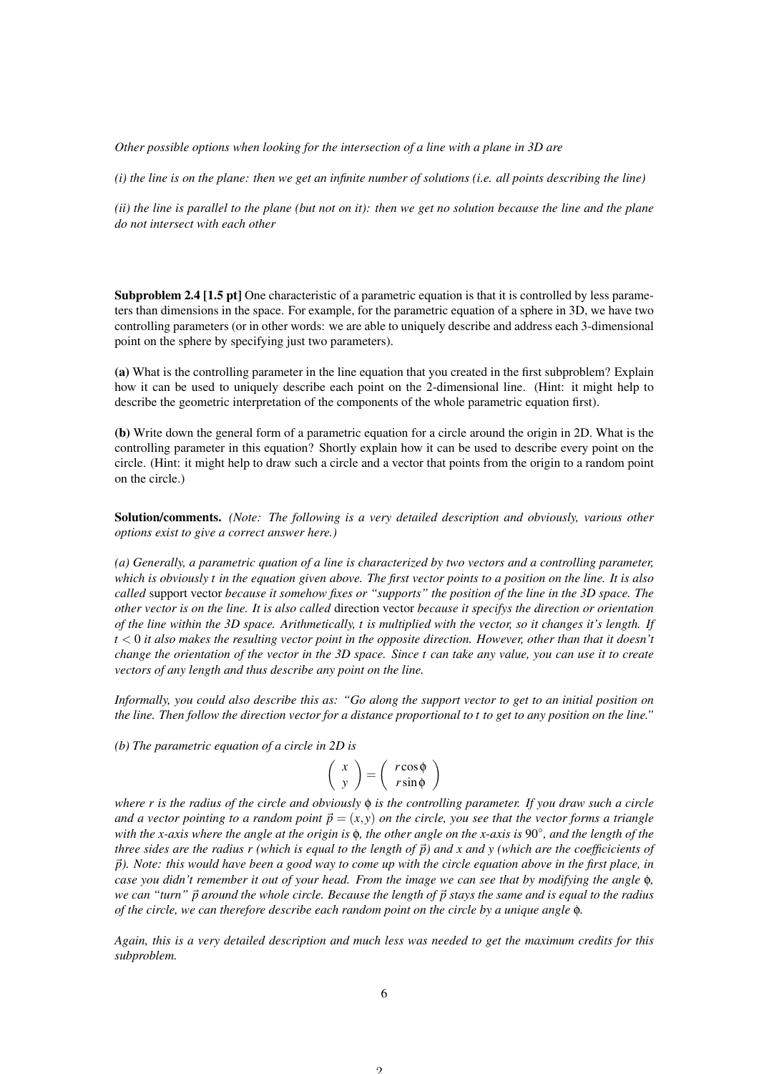*Other possible options when looking for the intersection of a line with a plane in 3D are*

*(i) the line is on the plane: then we get an infinite number of solutions (i.e. all points describing the line)*

*(ii) the line is parallel to the plane (but not on it): then we get no solution because the line and the plane do not intersect with each other*

Subproblem 2.4 [1.5 pt] One characteristic of a parametric equation is that it is controlled by less parameters than dimensions in the space. For example, for the parametric equation of a sphere in 3D, we have two controlling parameters (or in other words: we are able to uniquely describe and address each 3-dimensional point on the sphere by specifying just two parameters).

(a) What is the controlling parameter in the line equation that you created in the first subproblem? Explain how it can be used to uniquely describe each point on the 2-dimensional line. (Hint: it might help to describe the geometric interpretation of the components of the whole parametric equation first).

(b) Write down the general form of a parametric equation for a circle around the origin in 2D. What is the controlling parameter in this equation? Shortly explain how it can be used to describe every point on the circle. (Hint: it might help to draw such a circle and a vector that points from the origin to a random point on the circle.)

Solution/comments. *(Note: The following is a very detailed description and obviously, various other options exist to give a correct answer here.)*

*(a) Generally, a parametric quation of a line is characterized by two vectors and a controlling parameter, which is obviously t in the equation given above. The first vector points to a position on the line. It is also called* support vector *because it somehow fixes or "supports" the position of the line in the 3D space. The other vector is on the line. It is also called* direction vector *because it specifys the direction or orientation of the line within the 3D space. Arithmetically, t is multiplied with the vector, so it changes it's length. If t* < 0 *it also makes the resulting vector point in the opposite direction. However, other than that it doesn't change the orientation of the vector in the 3D space. Since t can take any value, you can use it to create vectors of any length and thus describe any point on the line.*

*Informally, you could also describe this as: "Go along the support vector to get to an initial position on the line. Then follow the direction vector for a distance proportional to t to get to any position on the line."*

*(b) The parametric equation of a circle in 2D is*

$$
\left(\begin{array}{c} x \\ y \end{array}\right) = \left(\begin{array}{c} r\cos\phi \\ r\sin\phi \end{array}\right)
$$

*where r is the radius of the circle and obviously* φ *is the controlling parameter. If you draw such a circle and a vector pointing to a random point*  $\vec{p} = (x, y)$  *on the circle, you see that the vector forms a triangle with the x-axis where the angle at the origin is* φ*, the other angle on the x-axis is* 90◦ *, and the length of the three sides are the radius r (which is equal to the length of*  $\vec{p}$ ) and x and y (which are the coefficicients of ~*p). Note: this would have been a good way to come up with the circle equation above in the first place, in case you didn't remember it out of your head. From the image we can see that by modifying the angle* φ*, we can "turn"*  $\vec{p}$  around the whole circle. Because the length of  $\vec{p}$  stays the same and is equal to the radius *of the circle, we can therefore describe each random point on the circle by a unique angle* φ*.*

*Again, this is a very detailed description and much less was needed to get the maximum credits for this subproblem.*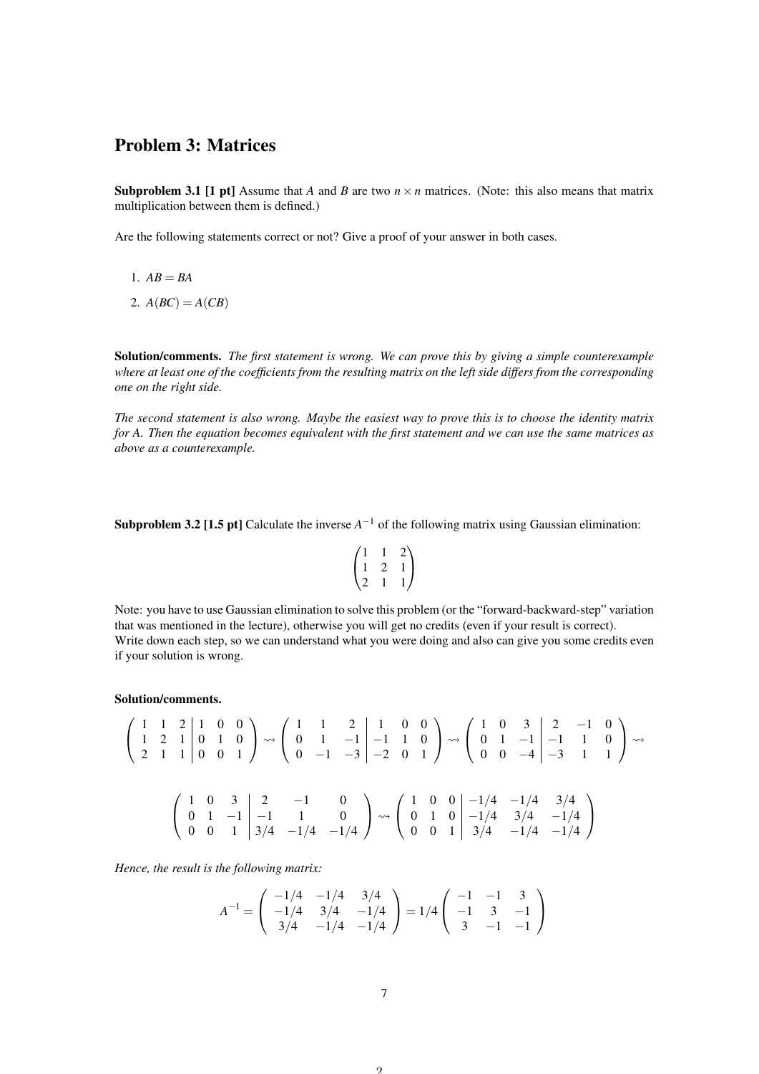## Problem 3: Matrices

**Subproblem 3.1 [1 pt]** Assume that *A* and *B* are two  $n \times n$  matrices. (Note: this also means that matrix multiplication between them is defined.)

Are the following statements correct or not? Give a proof of your answer in both cases.

$$
1. AB = BA
$$

2. 
$$
A(BC) = A(CB)
$$

Solution/comments. *The first statement is wrong. We can prove this by giving a simple counterexample where at least one of the coefficients from the resulting matrix on the left side differs from the corresponding one on the right side.*

*The second statement is also wrong. Maybe the easiest way to prove this is to choose the identity matrix for A. Then the equation becomes equivalent with the first statement and we can use the same matrices as above as a counterexample.*

**Subproblem 3.2 [1.5 pt]** Calculate the inverse  $A^{-1}$  of the following matrix using Gaussian elimination:

$$
\begin{pmatrix} 1 & 1 & 2 \\ 1 & 2 & 1 \\ 2 & 1 & 1 \end{pmatrix}
$$

Note: you have to use Gaussian elimination to solve this problem (or the "forward-backward-step" variation that was mentioned in the lecture), otherwise you will get no credits (even if your result is correct). Write down each step, so we can understand what you were doing and also can give you some credits even if your solution is wrong.

#### Solution/comments.

$$
\begin{pmatrix}\n1 & 1 & 2 & | & 1 & 0 & 0 \\
1 & 2 & 1 & | & 0 & 1 & 0 \\
2 & 1 & 1 & | & 0 & 0 & 1\n\end{pmatrix}\n\rightsquigarrow\n\begin{pmatrix}\n1 & 1 & 2 & | & 1 & 0 & 0 \\
0 & 1 & -1 & | & -1 & 1 & 0 \\
0 & -1 & -3 & | & -2 & 0 & 1\n\end{pmatrix}\n\rightsquigarrow\n\begin{pmatrix}\n1 & 0 & 3 & | & 2 & -1 & 0 \\
0 & 1 & -1 & | & -1 & 1 & 0 \\
0 & 0 & -4 & | & -3 & 1 & 1\n\end{pmatrix}\n\rightsquigarrow
$$
\n
$$
\begin{pmatrix}\n1 & 0 & 3 & | & 2 & -1 & 0 \\
0 & 1 & -1 & | & -1 & 1 & 0 \\
0 & 0 & 1 & | & 3/4 & -1/4 & -1/4\n\end{pmatrix}\n\rightsquigarrow\n\begin{pmatrix}\n1 & 0 & 0 & | & -1/4 & -1/4 & 3/4 \\
0 & 1 & 0 & | & -1/4 & 3/4 & -1/4 \\
0 & 0 & 1 & | & 3/4 & -1/4 & -1/4\n\end{pmatrix}
$$

*Hence, the result is the following matrix:*

$$
A^{-1} = \begin{pmatrix} -1/4 & -1/4 & 3/4 \\ -1/4 & 3/4 & -1/4 \\ 3/4 & -1/4 & -1/4 \end{pmatrix} = 1/4 \begin{pmatrix} -1 & -1 & 3 \\ -1 & 3 & -1 \\ 3 & -1 & -1 \end{pmatrix}
$$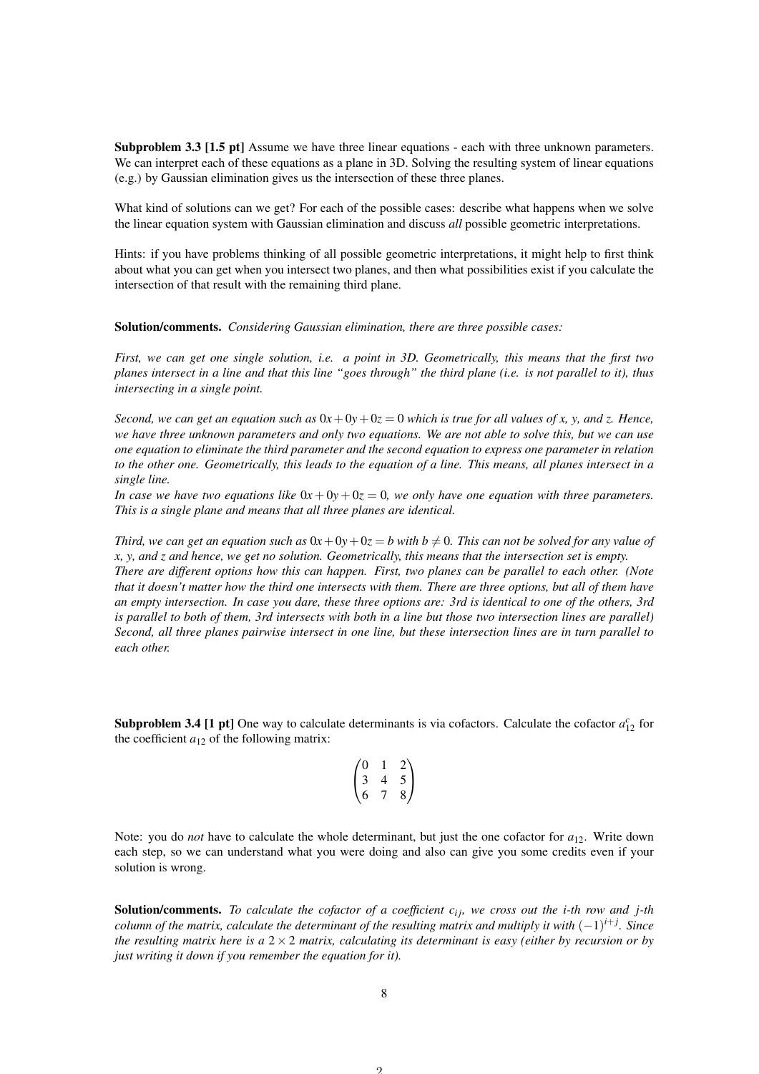Subproblem 3.3 [1.5 pt] Assume we have three linear equations - each with three unknown parameters. We can interpret each of these equations as a plane in 3D. Solving the resulting system of linear equations (e.g.) by Gaussian elimination gives us the intersection of these three planes.

What kind of solutions can we get? For each of the possible cases: describe what happens when we solve the linear equation system with Gaussian elimination and discuss *all* possible geometric interpretations.

Hints: if you have problems thinking of all possible geometric interpretations, it might help to first think about what you can get when you intersect two planes, and then what possibilities exist if you calculate the intersection of that result with the remaining third plane.

Solution/comments. *Considering Gaussian elimination, there are three possible cases:*

*First, we can get one single solution, i.e. a point in 3D. Geometrically, this means that the first two planes intersect in a line and that this line "goes through" the third plane (i.e. is not parallel to it), thus intersecting in a single point.*

*Second, we can get an equation such as*  $0x + 0y + 0z = 0$  *which is true for all values of x, y, and z. Hence, we have three unknown parameters and only two equations. We are not able to solve this, but we can use one equation to eliminate the third parameter and the second equation to express one parameter in relation to the other one. Geometrically, this leads to the equation of a line. This means, all planes intersect in a single line.*

*In case we have two equations like*  $0x + 0y + 0z = 0$ *, we only have one equation with three parameters. This is a single plane and means that all three planes are identical.*

*Third, we can get an equation such as*  $0x + 0y + 0z = b$  with  $b \neq 0$ *. This can not be solved for any value of x, y, and z and hence, we get no solution. Geometrically, this means that the intersection set is empty. There are different options how this can happen. First, two planes can be parallel to each other. (Note that it doesn't matter how the third one intersects with them. There are three options, but all of them have an empty intersection. In case you dare, these three options are: 3rd is identical to one of the others, 3rd is parallel to both of them, 3rd intersects with both in a line but those two intersection lines are parallel) Second, all three planes pairwise intersect in one line, but these intersection lines are in turn parallel to each other.*

**Subproblem 3.4 [1 pt]** One way to calculate determinants is via cofactors. Calculate the cofactor  $a_{12}^c$  for the coefficient  $a_{12}$  of the following matrix:

$$
\begin{pmatrix}\n0 & 1 & 2 \\
3 & 4 & 5 \\
6 & 7 & 8\n\end{pmatrix}
$$

Note: you do *not* have to calculate the whole determinant, but just the one cofactor for  $a_{12}$ . Write down each step, so we can understand what you were doing and also can give you some credits even if your solution is wrong.

Solution/comments. *To calculate the cofactor of a coefficient c<sub><i>ij</sub>*, we cross out the *i-th row and j-th*</sub> *column of the matrix, calculate the determinant of the resulting matrix and multiply it with* (−1) *i*+*j . Since the resulting matrix here is a*  $2 \times 2$  *matrix, calculating its determinant is easy (either by recursion or by just writing it down if you remember the equation for it).*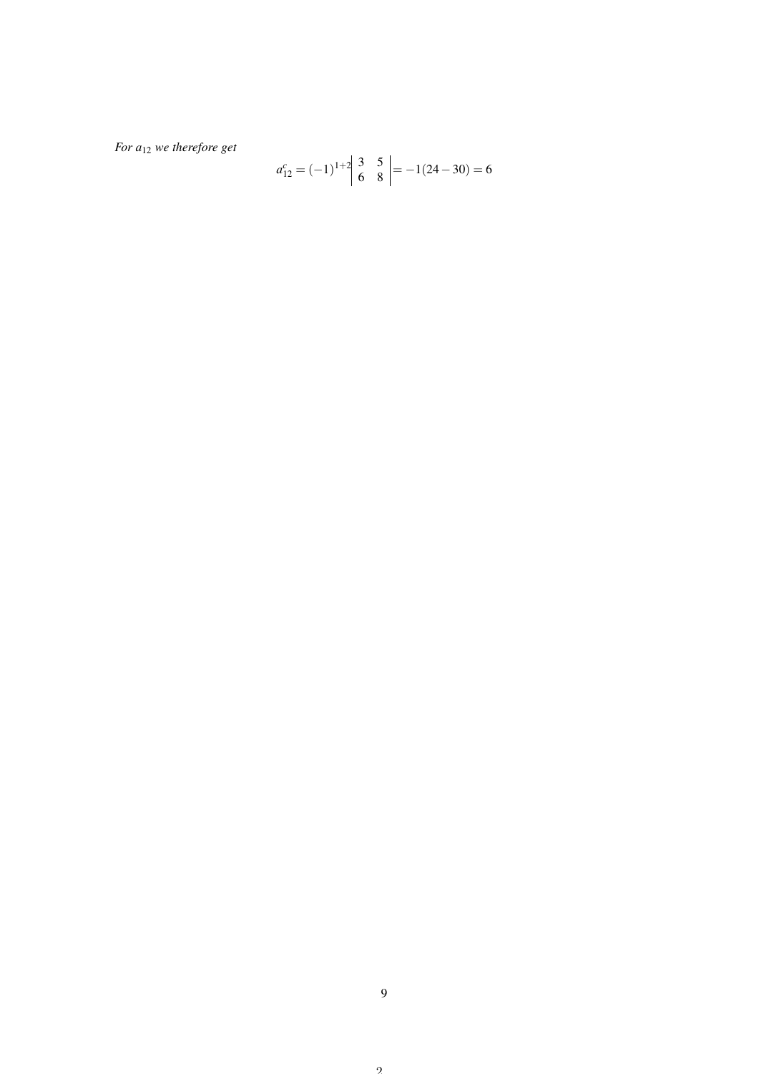*For a*<sup>12</sup> *we therefore get*

$$
a_{12}^c = (-1)^{1+2} \begin{vmatrix} 3 & 5 \\ 6 & 8 \end{vmatrix} = -1(24-30) = 6
$$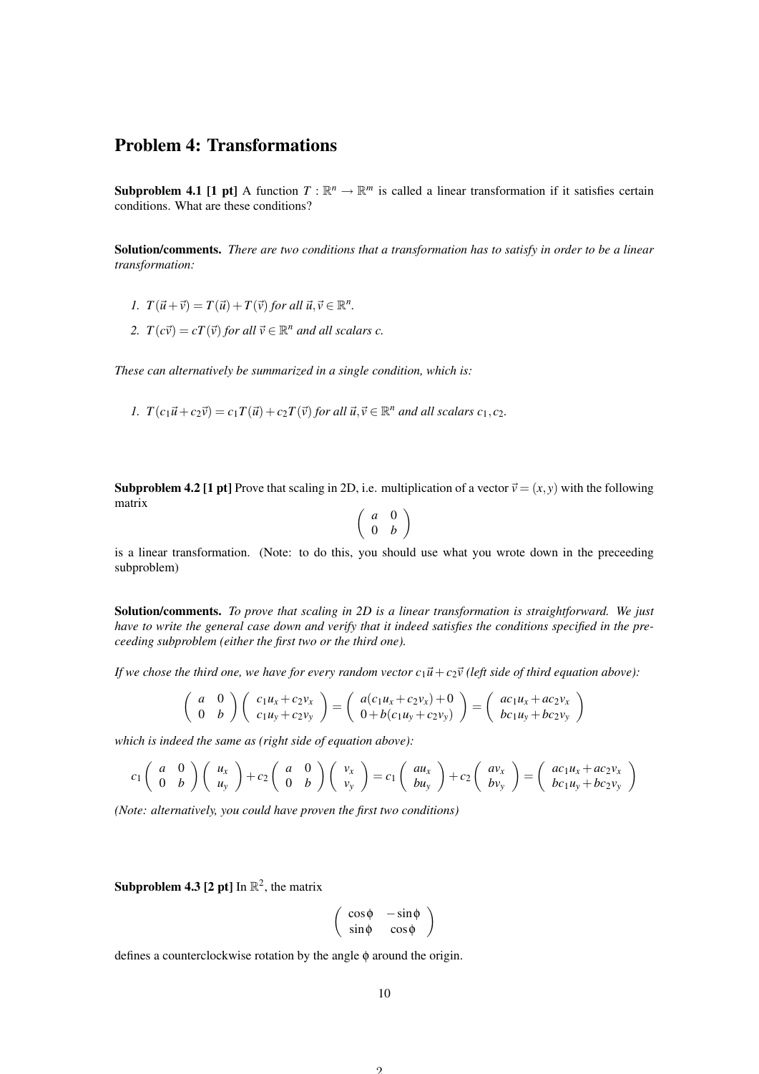### Problem 4: Transformations

**Subproblem 4.1 [1 pt]** A function  $T : \mathbb{R}^n \to \mathbb{R}^m$  is called a linear transformation if it satisfies certain conditions. What are these conditions?

Solution/comments. *There are two conditions that a transformation has to satisfy in order to be a linear transformation:*

- *1.*  $T(\vec{u}+\vec{v}) = T(\vec{u}) + T(\vec{v})$  for all  $\vec{u}, \vec{v} \in \mathbb{R}^n$ .
- 2.  $T(c\vec{v}) = cT(\vec{v})$  *for all*  $\vec{v} \in \mathbb{R}^n$  *and all scalars c.*

*These can alternatively be summarized in a single condition, which is:*

*1.*  $T(c_1\vec{u} + c_2\vec{v}) = c_1T(\vec{u}) + c_2T(\vec{v})$  *for all*  $\vec{u}, \vec{v} \in \mathbb{R}^n$  *and all scalars*  $c_1, c_2$ *.* 

**Subproblem 4.2 [1 pt]** Prove that scaling in 2D, i.e. multiplication of a vector  $\vec{v} = (x, y)$  with the following matrix

$$
\left(\begin{array}{cc}a&0\\0&b\end{array}\right)
$$

is a linear transformation. (Note: to do this, you should use what you wrote down in the preceeding subproblem)

Solution/comments. *To prove that scaling in 2D is a linear transformation is straightforward. We just have to write the general case down and verify that it indeed satisfies the conditions specified in the preceeding subproblem (either the first two or the third one).*

*If we chose the third one, we have for every random vector*  $c_1\vec{u} + c_2\vec{v}$  (left side of third equation above):

$$
\begin{pmatrix} a & 0 \ 0 & b \end{pmatrix} \begin{pmatrix} c_1u_x + c_2v_x \ c_1u_y + c_2v_y \end{pmatrix} = \begin{pmatrix} a(c_1u_x + c_2v_x) + 0 \ 0 + b(c_1u_y + c_2v_y) \end{pmatrix} = \begin{pmatrix} ac_1u_x + ac_2v_x \ bc_1u_y + bc_2v_y \end{pmatrix}
$$

*which is indeed the same as (right side of equation above):*

$$
c_1\begin{pmatrix} a & 0 \\ 0 & b \end{pmatrix} \begin{pmatrix} u_x \\ u_y \end{pmatrix} + c_2 \begin{pmatrix} a & 0 \\ 0 & b \end{pmatrix} \begin{pmatrix} v_x \\ v_y \end{pmatrix} = c_1 \begin{pmatrix} au_x \\ bu_y \end{pmatrix} + c_2 \begin{pmatrix} av_x \\ bv_y \end{pmatrix} = \begin{pmatrix} ac_1u_x + ac_2v_x \\ bc_1u_y + bc_2v_y \end{pmatrix}
$$

*(Note: alternatively, you could have proven the first two conditions)*

**Subproblem 4.3 [2 pt]** In  $\mathbb{R}^2$ , the matrix

$$
\left(\begin{array}{cc} \cos\phi & -\sin\phi \\ \sin\phi & \cos\phi \end{array}\right)
$$

defines a counterclockwise rotation by the angle φ around the origin.